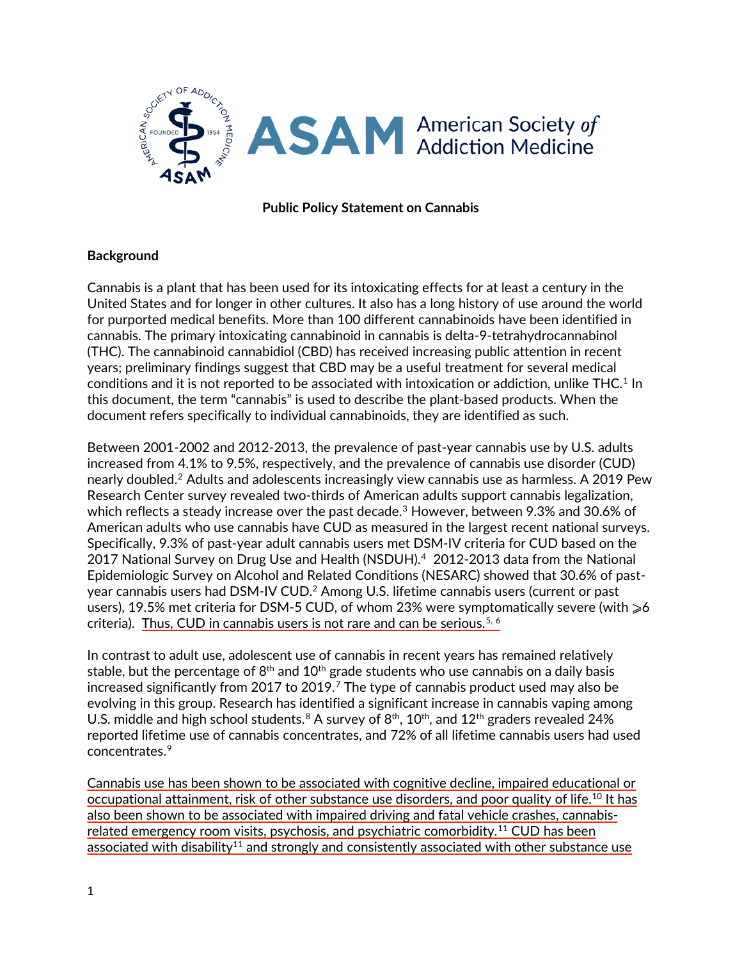

## **Public Policy Statement on Cannabis**

### **Background**

Cannabis is a plant that has been used for its intoxicating effects for at least a century in the United States and for longer in other cultures. It also has a long history of use around the world for purported medical benefits. More than 100 different cannabinoids have been identified in cannabis. The primary intoxicating cannabinoid in cannabis is delta-9-tetrahydrocannabinol (THC). The cannabinoid cannabidiol (CBD) has received increasing public attention in recent years; preliminary findings suggest that CBD may be a useful treatment for several medical conditions and it is not reported to be associated with intoxication or addiction, unlike THC. $^{\rm 1}$  $^{\rm 1}$  $^{\rm 1}$  In this document, the term "cannabis" is used to describe the plant-based products. When the document refers specifically to individual cannabinoids, they are identified as such.

Between 2001-2002 and 2012-2013, the prevalence of past-year cannabis use by U.S. adults increased from 4.1% to 9.5%, respectively, and the prevalence of cannabis use disorder (CUD) nearly doubled.[2](#page-8-1) Adults and adolescents increasingly view cannabis use as harmless. A 2019 Pew Research Center survey revealed two-thirds of American adults support cannabis legalization, which reflects a steady increase over the past decade.<sup>[3](#page-8-2)</sup> However, between 9.3% and 30.6% of American adults who use cannabis have CUD as measured in the largest recent national surveys. Specifically, 9.3% of past-year adult cannabis users met DSM-IV criteria for CUD based on the 2017 National Survey on Drug Use and Health (NSDUH).<sup>4</sup> 2012-2013 data from the National Epidemiologic Survey on Alcohol and Related Conditions (NESARC) showed that 30.6% of pastyear cannabis users had DSM-IV CUD.<sup>2</sup> Among U.S. lifetime cannabis users (current or past users), 19.5% met criteria for DSM-5 CUD, of whom 23% were symptomatically severe (with  $\geq 6$ criteria). Thus, CUD in cannabis users is not rare and can be serious.<sup>[5](#page-9-1), [6](#page-9-2)</sup>

In contrast to adult use, adolescent use of cannabis in recent years has remained relatively stable, but the percentage of  $8<sup>th</sup>$  and  $10<sup>th</sup>$  grade students who use cannabis on a daily basis increased significantly from 201[7](#page-9-3) to 2019. $^7$  The type of cannabis product used may also be evolving in this group. Research has identified a significant increase in cannabis vaping among U.S. middle and high school students.<sup>[8](#page-9-4)</sup> A survey of  $8<sup>th</sup>$ ,  $10<sup>th</sup>$ , and  $12<sup>th</sup>$  graders revealed 24% reported lifetime use of cannabis concentrates, and 72% of all lifetime cannabis users had used concentrates.[9](#page-9-5)

Cannabis use has been shown to be associated with cognitive decline, impaired educational or occupational attainment, risk of other substance use disorders, and poor quality of life.<sup>[10](#page-9-6)</sup> It has also been shown to be associated with impaired driving and fatal vehicle crashes, cannabisrelated emergency room visits, psychosis, and psychiatric comorbidity. [11](#page-9-7) CUD has been associated with disability<sup>11</sup> and strongly and consistently associated with other substance use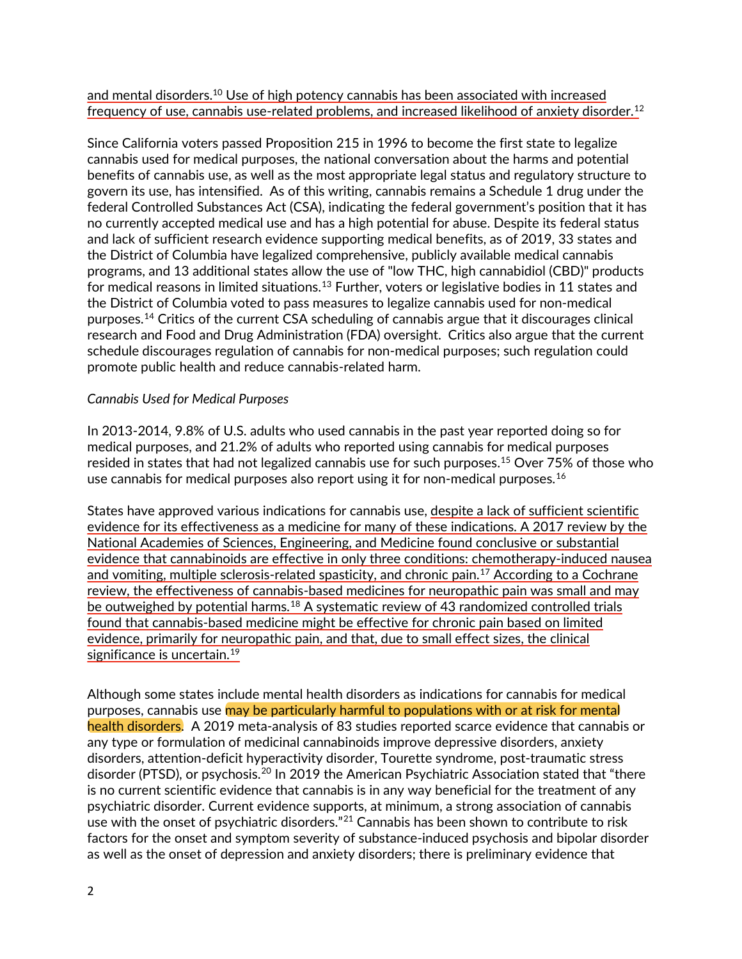and mental disorders. <sup>10</sup> Use of high potency cannabis has been associated with increased frequency of use, cannabis use-related problems, and increased likelihood of anxiety disorder.<sup>[12](#page-9-8)</sup>

Since California voters passed Proposition 215 in 1996 to become the first state to legalize cannabis used for medical purposes, the national conversation about the harms and potential benefits of cannabis use, as well as the most appropriate legal status and regulatory structure to govern its use, has intensified. As of this writing, cannabis remains a Schedule 1 drug under the federal Controlled Substances Act (CSA), indicating the federal government's position that it has no currently accepted medical use and has a high potential for abuse. Despite its federal status and lack of sufficient research evidence supporting medical benefits, as of 2019, 33 states and the District of Columbia have legalized comprehensive, publicly available medical cannabis programs, and 13 additional states allow the use of "low THC, high cannabidiol (CBD)" products for medical reasons in limited situations.<sup>[13](#page-9-9)</sup> Further, voters or legislative bodies in 11 states and the District of Columbia voted to pass measures to legalize cannabis used for non-medical purposes. [14](#page-9-10) Critics of the current CSA scheduling of cannabis argue that it discourages clinical research and Food and Drug Administration (FDA) oversight. Critics also argue that the current schedule discourages regulation of cannabis for non-medical purposes; such regulation could promote public health and reduce cannabis-related harm.

### *Cannabis Used for Medical Purposes*

In 2013-2014, 9.8% of U.S. adults who used cannabis in the past year reported doing so for medical purposes, and 21.2% of adults who reported using cannabis for medical purposes resided in states that had not legalized cannabis use for such purposes. [15](#page-9-11) Over 75% of those who use cannabis for medical purposes also report using it for non-medical purposes. $^{16}\,$  $^{16}\,$  $^{16}\,$ 

States have approved various indications for cannabis use, despite a lack of sufficient scientific evidence for its effectiveness as a medicine for many of these indications. A 2017 review by the National Academies of Sciences, Engineering, and Medicine found conclusive or substantial evidence that cannabinoids are effective in only three conditions: chemotherapy-induced nausea and vomiting, multiple sclerosis-related spasticity, and chronic pain.<sup>[17](#page-9-13)</sup> According to a Cochrane review, the effectiveness of cannabis-based medicines for neuropathic pain was small and may be outweighed by potential harms.<sup>[18](#page-9-14)</sup> A systematic review of 43 randomized controlled trials found that cannabis-based medicine might be effective for chronic pain based on limited evidence, primarily for neuropathic pain, and that, due to small effect sizes, the clinical significance is uncertain.<sup>[19](#page-9-15)</sup>

Although some states include mental health disorders as indications for cannabis for medical purposes, cannabis use may be particularly harmful to populations with or at risk for mental health disorders. A 2019 meta-analysis of 83 studies reported scarce evidence that cannabis or any type or formulation of medicinal cannabinoids improve depressive disorders, anxiety disorders, attention-deficit hyperactivity disorder, Tourette syndrome, post-traumatic stress disorder (PTSD), or psychosis. [20](#page-9-16) In 2019 the American Psychiatric Association stated that "there is no current scientific evidence that cannabis is in any way beneficial for the treatment of any psychiatric disorder. Current evidence supports, at minimum, a strong association of cannabis use with the onset of psychiatric disorders."<sup>[21](#page-9-17)</sup> Cannabis has been shown to contribute to risk factors for the onset and symptom severity of substance-induced psychosis and bipolar disorder as well as the onset of depression and anxiety disorders; there is preliminary evidence that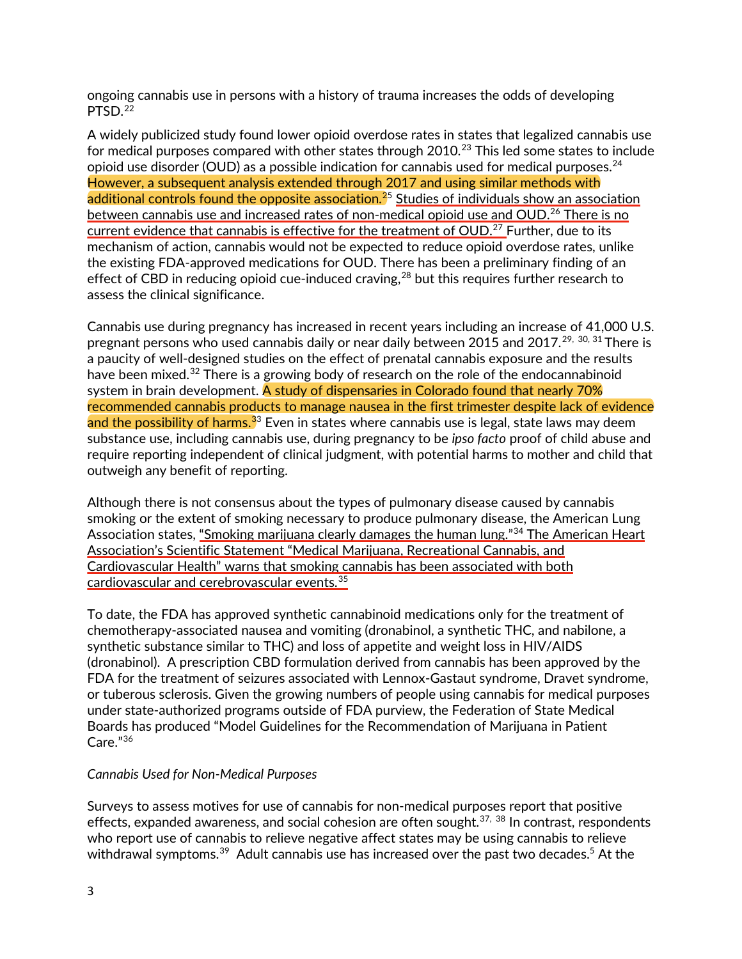ongoing cannabis use in persons with a history of trauma increases the odds of developing PTSD. [22](#page-9-18)

A widely publicized study found lower opioid overdose rates in states that legalized cannabis use for medical purposes compared with other states through 2010.<sup>[23](#page-9-19)</sup> This led some states to include opioid use disorder (OUD) as a possible indication for cannabis used for medical purposes. $^\mathrm{24}$  $^\mathrm{24}$  $^\mathrm{24}$ However, a subsequent analysis extended through 2017 and using similar methods with additional controls found the opposite association.<sup>[25](#page-10-1)</sup> Studies of individuals show an association between cannabis use and increased rates of non-medical opioid use and OUD.<sup>[26](#page-10-2)</sup> There is no current evidence that cannabis is effective for the treatment of OUD.<sup>[27](#page-10-3)</sup> Further, due to its mechanism of action, cannabis would not be expected to reduce opioid overdose rates, unlike the existing FDA-approved medications for OUD. There has been a preliminary finding of an effect of CBD in reducing opioid cue-induced craving,<sup>[28](#page-10-4)</sup> but this requires further research to assess the clinical significance.

Cannabis use during pregnancy has increased in recent years including an increase of 41,000 U.S. pregnant persons who used cannabis daily or near daily between 2015 and 2017. $^{\mathsf{29, \; 30, \; 31}}$  $^{\mathsf{29, \; 30, \; 31}}$  $^{\mathsf{29, \; 30, \; 31}}$  $^{\mathsf{29, \; 30, \; 31}}$  $^{\mathsf{29, \; 30, \; 31}}$  $^{\mathsf{29, \; 30, \; 31}}$  $^{\mathsf{29, \; 30, \; 31}}$  There is a paucity of well-designed studies on the effect of prenatal cannabis exposure and the results have been mixed.<sup>[32](#page-10-8)</sup> There is a growing body of research on the role of the endocannabinoid system in brain development. A study of dispensaries in Colorado found that nearly 70% recommended cannabis products to manage nausea in the first trimester despite lack of evidence and the possibility of harms.<sup>[33](#page-10-9)</sup> Even in states where cannabis use is legal, state laws may deem substance use, including cannabis use, during pregnancy to be *ipso facto* proof of child abuse and require reporting independent of clinical judgment, with potential harms to mother and child that outweigh any benefit of reporting.

Although there is not consensus about the types of pulmonary disease caused by cannabis smoking or the extent of smoking necessary to produce pulmonary disease, the American Lung Association states, "Smoking marijuana clearly damages the human lung."<sup>[34](#page-10-10)</sup> The American Heart Association's Scientific Statement "Medical Marijuana, Recreational Cannabis, and Cardiovascular Health" warns that smoking cannabis has been associated with both cardiovascular and cerebrovascular events.[35](#page-10-11)

To date, the FDA has approved synthetic cannabinoid medications only for the treatment of chemotherapy-associated nausea and vomiting (dronabinol, a synthetic THC, and nabilone, a synthetic substance similar to THC) and loss of appetite and weight loss in HIV/AIDS (dronabinol). A prescription CBD formulation derived from cannabis has been approved by the FDA for the treatment of seizures associated with Lennox-Gastaut syndrome, Dravet syndrome, or tuberous sclerosis. Given the growing numbers of people using cannabis for medical purposes under state-authorized programs outside of FDA purview, the Federation of State Medical Boards has produced "Model Guidelines for the Recommendation of Marijuana in Patient Care."[36](#page-10-12)

## *Cannabis Used for Non-Medical Purposes*

Surveys to assess motives for use of cannabis for non-medical purposes report that positive effects, expanded awareness, and social cohesion are often sought.<sup>[37](#page-10-13), [38](#page-10-14)</sup> In contrast, respondents who report use of cannabis to relieve negative affect states may be using cannabis to relieve withdrawal symptoms.<sup>[39](#page-10-15)</sup> Adult cannabis use has increased over the past two decades.<sup>5</sup> At the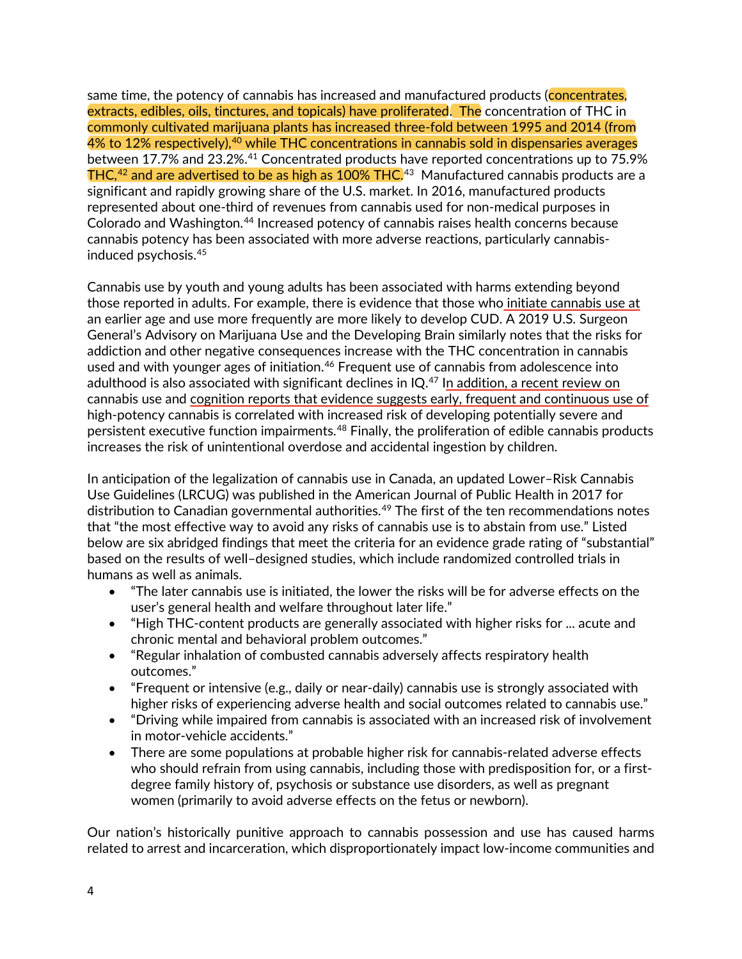same time, the potency of cannabis has increased and manufactured products (concentrates, extracts, edibles, oils, tinctures, and topicals) have proliferated. The concentration of THC in commonly cultivated marijuana plants has increased three-fold between 1995 and 2014 (from  $4\%$  to  $12\%$  respectively), $^{40}$  $^{40}$  $^{40}$  while THC concentrations in cannabis sold in dispensaries averages between 17.7% and 23.2%.<sup>[41](#page-10-17)</sup> Concentrated products have reported concentrations up to 75.9%  ${\sf THC,^{42}}$  ${\sf THC,^{42}}$  ${\sf THC,^{42}}$  and are advertised to be as high as  $100\%$  THC. $^{43}$  $^{43}$  $^{43}$  Manufactured cannabis products are a significant and rapidly growing share of the U.S. market. In 2016, manufactured products represented about one-third of revenues from cannabis used for non-medical purposes in Colorado and Washington.<sup>[44](#page-11-0)</sup> Increased potency of cannabis raises health concerns because cannabis potency has been associated with more adverse reactions, particularly cannabisinduced psychosis. [45](#page-11-1)

Cannabis use by youth and young adults has been associated with harms extending beyond those reported in adults. For example, there is evidence that those who initiate cannabis use at an earlier age and use more frequently are more likely to develop CUD. A 2019 U.S. Surgeon General's Advisory on Marijuana Use and the Developing Brain similarly notes that the risks for addiction and other negative consequences increase with the THC concentration in cannabis used and with younger ages of initiation.<sup>[46](#page-11-2)</sup> Frequent use of cannabis from adolescence into adulthood is also associated with significant declines in  $IQ<sup>47</sup>$  $IQ<sup>47</sup>$  $IQ<sup>47</sup>$  In addition, a recent review on cannabis use and cognition reports that evidence suggests early, frequent and continuous use of high-potency cannabis is correlated with increased risk of developing potentially severe and persistent executive function impairments.<sup>[48](#page-11-4)</sup> Finally, the proliferation of edible cannabis products increases the risk of unintentional overdose and accidental ingestion by children.

In anticipation of the legalization of cannabis use in Canada, an updated Lower–Risk Cannabis Use Guidelines (LRCUG) was published in the American Journal of Public Health in 2017 for distribution to Canadian governmental authorities.<sup>[49](#page-11-5)</sup> The first of the ten recommendations notes that "the most effective way to avoid any risks of cannabis use is to abstain from use." Listed below are six abridged findings that meet the criteria for an evidence grade rating of "substantial" based on the results of well–designed studies, which include randomized controlled trials in humans as well as animals.

- "The later cannabis use is initiated, the lower the risks will be for adverse effects on the user's general health and welfare throughout later life."
- "High THC-content products are generally associated with higher risks for ... acute and chronic mental and behavioral problem outcomes."
- "Regular inhalation of combusted cannabis adversely affects respiratory health outcomes."
- "Frequent or intensive (e.g., daily or near-daily) cannabis use is strongly associated with higher risks of experiencing adverse health and social outcomes related to cannabis use."
- "Driving while impaired from cannabis is associated with an increased risk of involvement in motor-vehicle accidents."
- There are some populations at probable higher risk for cannabis-related adverse effects who should refrain from using cannabis, including those with predisposition for, or a firstdegree family history of, psychosis or substance use disorders, as well as pregnant women (primarily to avoid adverse effects on the fetus or newborn).

Our nation's historically punitive approach to cannabis possession and use has caused harms related to arrest and incarceration, which disproportionately impact low-income communities and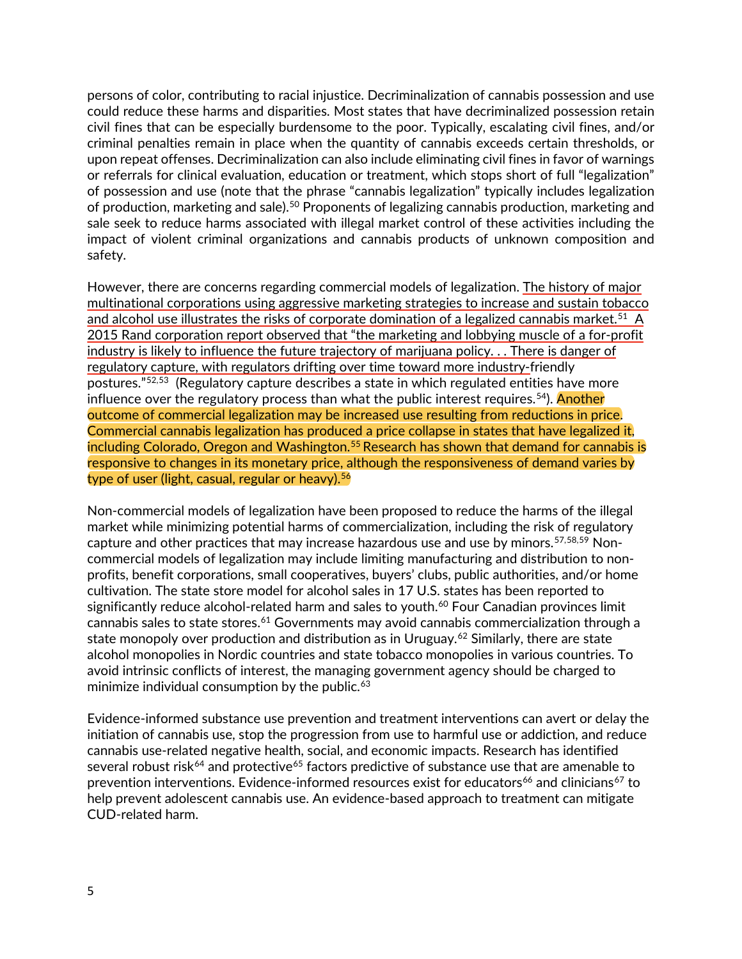persons of color, contributing to racial injustice. Decriminalization of cannabis possession and use could reduce these harms and disparities. Most states that have decriminalized possession retain civil fines that can be especially burdensome to the poor. Typically, escalating civil fines, and/or criminal penalties remain in place when the quantity of cannabis exceeds certain thresholds, or upon repeat offenses. Decriminalization can also include eliminating civil fines in favor of warnings or referrals for clinical evaluation, education or treatment, which stops short of full "legalization" of possession and use (note that the phrase "cannabis legalization" typically includes legalization of production, marketing and sale).<sup>[50](#page-11-6)</sup> Proponents of legalizing cannabis production, marketing and sale seek to reduce harms associated with illegal market control of these activities including the impact of violent criminal organizations and cannabis products of unknown composition and safety.

However, there are concerns regarding commercial models of legalization. The history of major multinational corporations using aggressive marketing strategies to increase and sustain tobacco and alcohol use illustrates the risks of corporate domination of a legalized cannabis market.<sup>[51](#page-11-7)</sup> A 2015 Rand corporation report observed that "the marketing and lobbying muscle of a for-profit industry is likely to influence the future trajectory of marijuana policy. . . There is danger of regulatory capture, with regulators drifting over time toward more industry-friendly postures."[52](#page-11-8),[53](#page-11-9) (Regulatory capture describes a state in which regulated entities have more influence over the regulatory process than what the public interest requires.<sup>54</sup>). <mark>Another</mark> outcome of commercial legalization may be increased use resulting from reductions in price. Commercial cannabis legalization has produced a price collapse in states that have legalized it, including Colorado, Oregon and Washington.<sup>[55](#page-11-11)</sup> Research has shown that demand for cannabis is responsive to changes in its monetary price, although the responsiveness of demand varies by type of user (light, casual, regular or heavy). $56$ 

Non-commercial models of legalization have been proposed to reduce the harms of the illegal market while minimizing potential harms of commercialization, including the risk of regulatory capture and other practices that may increase hazardous use and use by minors. [57,](#page-11-13)[58](#page-11-14),[59](#page-11-15) Noncommercial models of legalization may include limiting manufacturing and distribution to nonprofits, benefit corporations, small cooperatives, buyers' clubs, public authorities, and/or home cultivation. The state store model for alcohol sales in 17 U.S. states has been reported to significantly reduce alcohol-related harm and sales to youth. [60](#page-11-16) Four Canadian provinces limit cannabis sales to state stores.<sup>[61](#page-11-17)</sup> Governments may avoid cannabis commercialization through a state monopoly over production and distribution as in Uruguay. [62](#page-11-18) Similarly, there are state alcohol monopolies in Nordic countries and state tobacco monopolies in various countries. To avoid intrinsic conflicts of interest, the managing government agency should be charged to minimize individual consumption by the public. [63](#page-11-19)

Evidence-informed substance use prevention and treatment interventions can avert or delay the initiation of cannabis use, stop the progression from use to harmful use or addiction, and reduce cannabis use-related negative health, social, and economic impacts. Research has identified several robust risk<sup>[64](#page-12-0)</sup> and protective<sup>[65](#page-12-1)</sup> factors predictive of substance use that are amenable to prevention interventions. Evidence-informed resources exist for educators<sup>[66](#page-12-2)</sup> and clinicians<sup>[67](#page-12-3)</sup> to help prevent adolescent cannabis use. An evidence-based approach to treatment can mitigate CUD-related harm.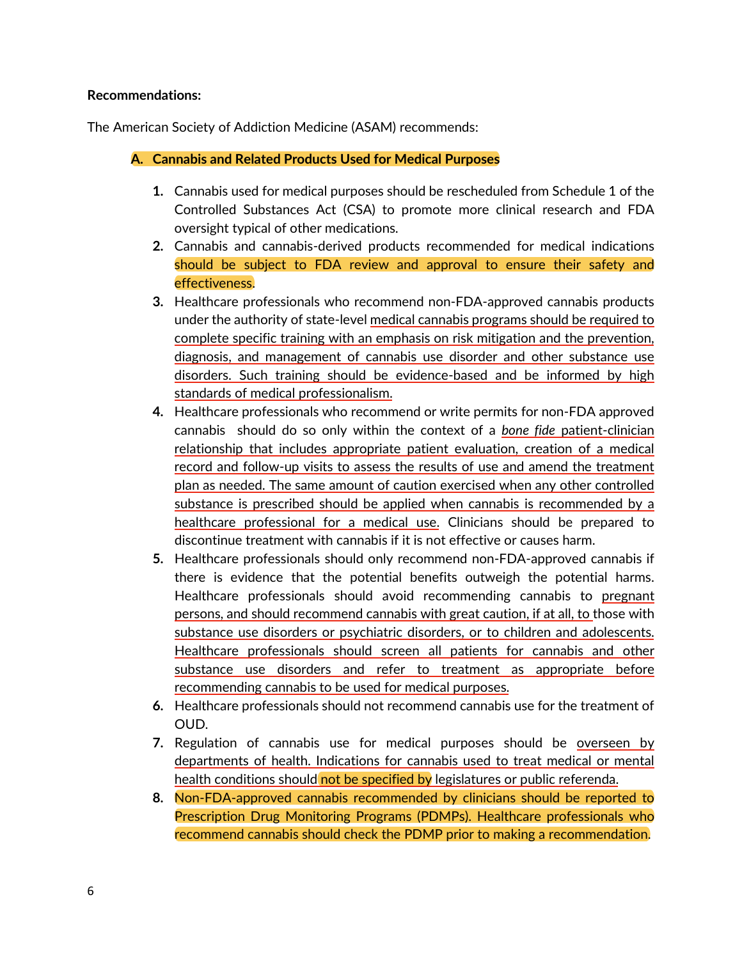## **Recommendations:**

The American Society of Addiction Medicine (ASAM) recommends:

**A. Cannabis and Related Products Used for Medical Purposes**

- **1.** Cannabis used for medical purposes should be rescheduled from Schedule 1 of the Controlled Substances Act (CSA) to promote more clinical research and FDA oversight typical of other medications.
- **2.** Cannabis and cannabis-derived products recommended for medical indications should be subject to FDA review and approval to ensure their safety and effectiveness.
- **3.** Healthcare professionals who recommend non-FDA-approved cannabis products under the authority of state-level medical cannabis programs should be required to complete specific training with an emphasis on risk mitigation and the prevention, diagnosis, and management of cannabis use disorder and other substance use disorders. Such training should be evidence-based and be informed by high standards of medical professionalism.
- **4.** Healthcare professionals who recommend or write permits for non-FDA approved cannabis should do so only within the context of a *bone fide* patient-clinician relationship that includes appropriate patient evaluation, creation of a medical record and follow-up visits to assess the results of use and amend the treatment plan as needed. The same amount of caution exercised when any other controlled substance is prescribed should be applied when cannabis is recommended by a healthcare professional for a medical use. Clinicians should be prepared to discontinue treatment with cannabis if it is not effective or causes harm.
- **5.** Healthcare professionals should only recommend non-FDA-approved cannabis if there is evidence that the potential benefits outweigh the potential harms. Healthcare professionals should avoid recommending cannabis to pregnant persons, and should recommend cannabis with great caution, if at all, to those with substance use disorders or psychiatric disorders, or to children and adolescents. Healthcare professionals should screen all patients for cannabis and other substance use disorders and refer to treatment as appropriate before recommending cannabis to be used for medical purposes.
- **6.** Healthcare professionals should not recommend cannabis use for the treatment of OUD.
- **7.** Regulation of cannabis use for medical purposes should be overseen by departments of health. Indications for cannabis used to treat medical or mental health conditions should not be specified by legislatures or public referenda.
- **8.** Non-FDA-approved cannabis recommended by clinicians should be reported to Prescription Drug Monitoring Programs (PDMPs). Healthcare professionals who recommend cannabis should check the PDMP prior to making a recommendation.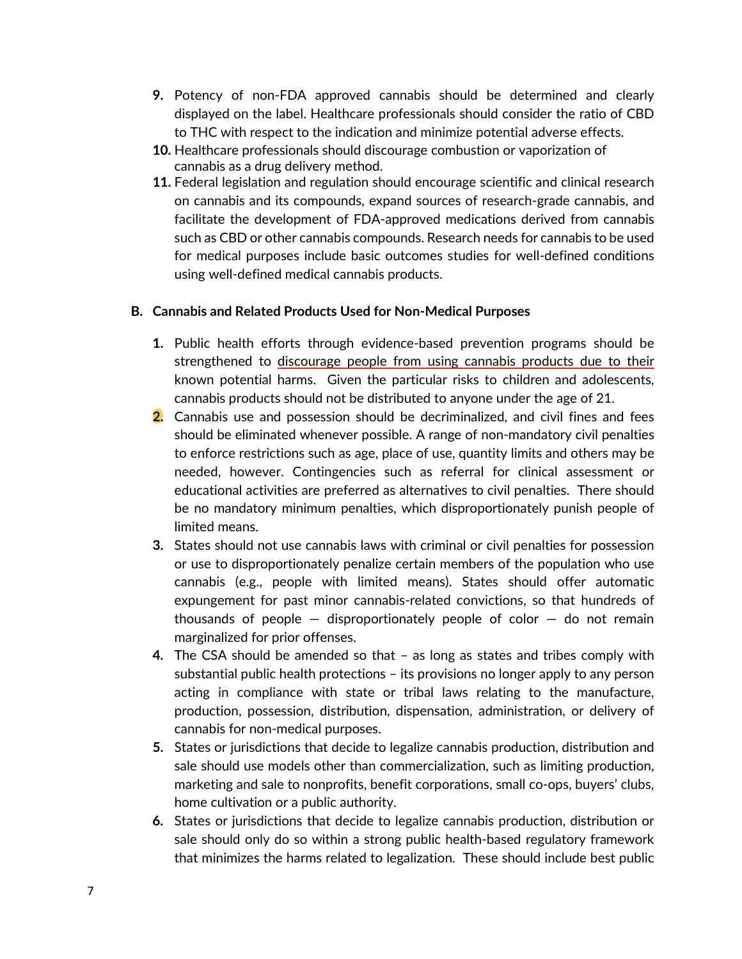- **9.** Potency of non-FDA approved cannabis should be determined and clearly displayed on the label. Healthcare professionals should consider the ratio of CBD to THC with respect to the indication and minimize potential adverse effects.
- **10.** Healthcare professionals should discourage combustion or vaporization of cannabis as a drug delivery method.
- **11.** Federal legislation and regulation should encourage scientific and clinical research on cannabis and its compounds, expand sources of research-grade cannabis, and facilitate the development of FDA-approved medications derived from cannabis such as CBD or other cannabis compounds. Research needs for cannabis to be used for medical purposes include basic outcomes studies for well-defined conditions using well-defined medical cannabis products.

# **B. Cannabis and Related Products Used for Non-Medical Purposes**

- **1.** Public health efforts through evidence-based prevention programs should be strengthened to discourage people from using cannabis products due to their known potential harms. Given the particular risks to children and adolescents, cannabis products should not be distributed to anyone under the age of 21.
- **2.** Cannabis use and possession should be decriminalized, and civil fines and fees should be eliminated whenever possible. A range of non-mandatory civil penalties to enforce restrictions such as age, place of use, quantity limits and others may be needed, however. Contingencies such as referral for clinical assessment or educational activities are preferred as alternatives to civil penalties. There should be no mandatory minimum penalties, which disproportionately punish people of limited means.
- **3.** States should not use cannabis laws with criminal or civil penalties for possession or use to disproportionately penalize certain members of the population who use cannabis (e.g., people with limited means). States should offer automatic expungement for past minor cannabis-related convictions, so that hundreds of thousands of people  $-$  disproportionately people of color  $-$  do not remain marginalized for prior offenses.
- **4.** The CSA should be amended so that as long as states and tribes comply with substantial public health protections – its provisions no longer apply to any person acting in compliance with state or tribal laws relating to the manufacture, production, possession, distribution, dispensation, administration, or delivery of cannabis for non-medical purposes.
- **5.** States or jurisdictions that decide to legalize cannabis production, distribution and sale should use models other than commercialization, such as limiting production, marketing and sale to nonprofits, benefit corporations, small co-ops, buyers' clubs, home cultivation or a public authority.
- **6.** States or jurisdictions that decide to legalize cannabis production, distribution or sale should only do so within a strong public health-based regulatory framework that minimizes the harms related to legalization. These should include best public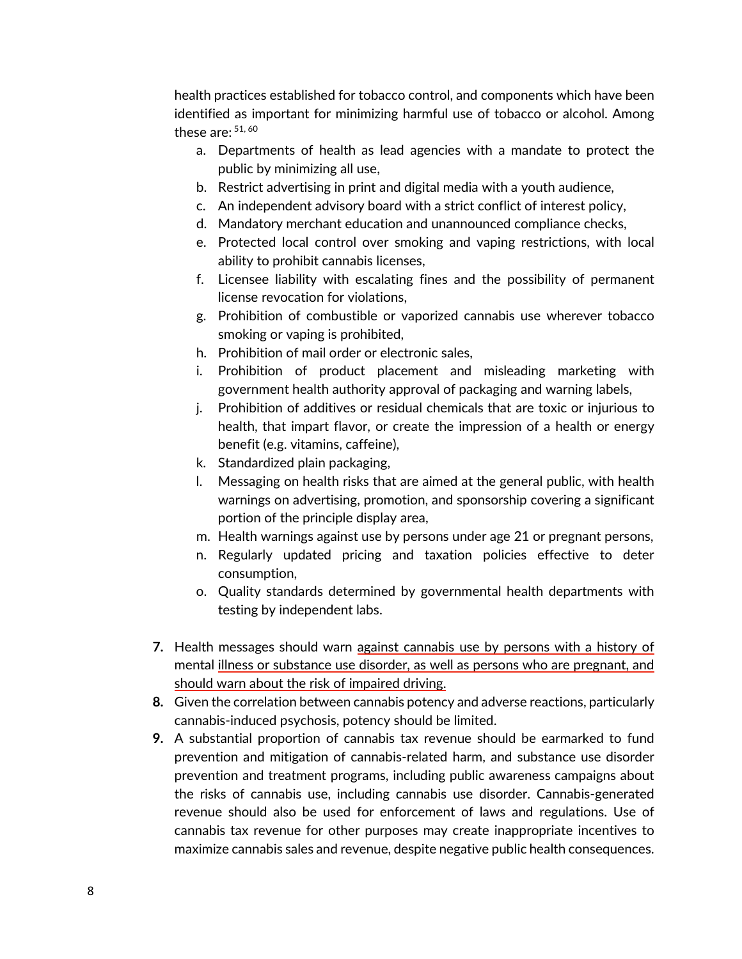health practices established for tobacco control, and components which have been identified as important for minimizing harmful use of tobacco or alcohol. Among these are:  $51,60$ 

- a. Departments of health as lead agencies with a mandate to protect the public by minimizing all use,
- b. Restrict advertising in print and digital media with a youth audience,
- c. An independent advisory board with a strict conflict of interest policy,
- d. Mandatory merchant education and unannounced compliance checks,
- e. Protected local control over smoking and vaping restrictions, with local ability to prohibit cannabis licenses,
- f. Licensee liability with escalating fines and the possibility of permanent license revocation for violations,
- g. Prohibition of combustible or vaporized cannabis use wherever tobacco smoking or vaping is prohibited,
- h. Prohibition of mail order or electronic sales,
- i. Prohibition of product placement and misleading marketing with government health authority approval of packaging and warning labels,
- j. Prohibition of additives or residual chemicals that are toxic or injurious to health, that impart flavor, or create the impression of a health or energy benefit (e.g. vitamins, caffeine),
- k. Standardized plain packaging,
- l. Messaging on health risks that are aimed at the general public, with health warnings on advertising, promotion, and sponsorship covering a significant portion of the principle display area,
- m. Health warnings against use by persons under age 21 or pregnant persons,
- n. Regularly updated pricing and taxation policies effective to deter consumption,
- o. Quality standards determined by governmental health departments with testing by independent labs.
- **7.** Health messages should warn against cannabis use by persons with a history of mental illness or substance use disorder, as well as persons who are pregnant, and should warn about the risk of impaired driving.
- **8.** Given the correlation between cannabis potency and adverse reactions, particularly cannabis-induced psychosis, potency should be limited.
- **9.** A substantial proportion of cannabis tax revenue should be earmarked to fund prevention and mitigation of cannabis-related harm, and substance use disorder prevention and treatment programs, including public awareness campaigns about the risks of cannabis use, including cannabis use disorder. Cannabis-generated revenue should also be used for enforcement of laws and regulations. Use of cannabis tax revenue for other purposes may create inappropriate incentives to maximize cannabis sales and revenue, despite negative public health consequences.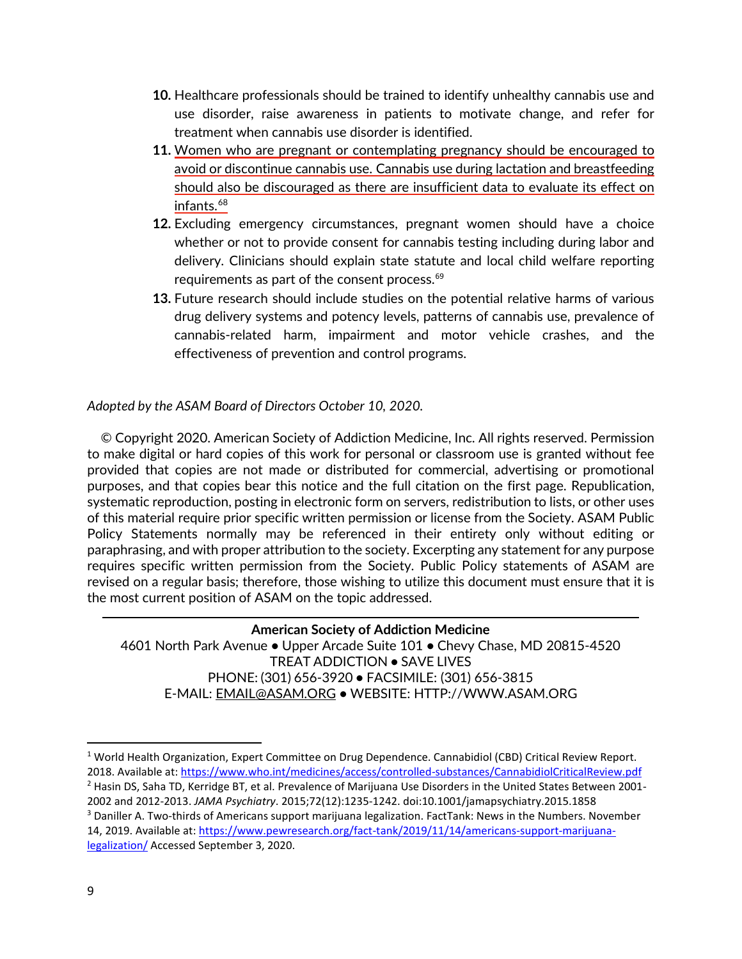- **10.** Healthcare professionals should be trained to identify unhealthy cannabis use and use disorder, raise awareness in patients to motivate change, and refer for treatment when cannabis use disorder is identified.
- **11.** Women who are pregnant or contemplating pregnancy should be encouraged to avoid or discontinue cannabis use. Cannabis use during lactation and breastfeeding should also be discouraged as there are insufficient data to evaluate its effect on infants.<sup>[68](#page-12-4)</sup>
- **12.** Excluding emergency circumstances, pregnant women should have a choice whether or not to provide consent for cannabis testing including during labor and delivery. Clinicians should explain state statute and local child welfare reporting requirements as part of the consent process. [69](#page-12-5)
- **13.** Future research should include studies on the potential relative harms of various drug delivery systems and potency levels, patterns of cannabis use, prevalence of cannabis-related harm, impairment and motor vehicle crashes, and the effectiveness of prevention and control programs.

# *Adopted by the ASAM Board of Directors October 10, 2020.*

 © Copyright 2020. American Society of Addiction Medicine, Inc. All rights reserved. Permission to make digital or hard copies of this work for personal or classroom use is granted without fee provided that copies are not made or distributed for commercial, advertising or promotional purposes, and that copies bear this notice and the full citation on the first page. Republication, systematic reproduction, posting in electronic form on servers, redistribution to lists, or other uses of this material require prior specific written permission or license from the Society. ASAM Public Policy Statements normally may be referenced in their entirety only without editing or paraphrasing, and with proper attribution to the society. Excerpting any statement for any purpose requires specific written permission from the Society. Public Policy statements of ASAM are revised on a regular basis; therefore, those wishing to utilize this document must ensure that it is the most current position of ASAM on the topic addressed.

**American Society of Addiction Medicine** 4601 North Park Avenue **•** Upper Arcade Suite 101 **•** Chevy Chase, MD 20815-4520 TREAT ADDICTION **•** SAVE LIVES PHONE: (301) 656-3920 **•** FACSIMILE: (301) 656-3815 E-MAIL: EMAIL@ASAM.ORG **•** WEBSITE: HTTP://WWW.ASAM.ORG

l

<span id="page-8-2"></span><span id="page-8-1"></span><span id="page-8-0"></span><sup>1</sup> World Health Organization, Expert Committee on Drug Dependence. Cannabidiol (CBD) Critical Review Report. 2018. Available at[: https://www.who.int/medicines/access/controlled-substances/CannabidiolCriticalReview.pdf](https://www.who.int/medicines/access/controlled-substances/CannabidiolCriticalReview.pdf) <sup>2</sup> Hasin DS, Saha TD, Kerridge BT, et al. Prevalence of Marijuana Use Disorders in the United States Between 2001- 2002 and 2012-2013. *JAMA Psychiatry*. 2015;72(12):1235-1242. doi:10.1001/jamapsychiatry.2015.1858 <sup>3</sup> Daniller A. Two-thirds of Americans support marijuana legalization. FactTank: News in the Numbers. November 14, 2019. Available at: [https://www.pewresearch.org/fact-tank/2019/11/14/americans-support-marijuana](https://www.pewresearch.org/fact-tank/2019/11/14/americans-support-marijuana-legalization/)[legalization/](https://www.pewresearch.org/fact-tank/2019/11/14/americans-support-marijuana-legalization/) Accessed September 3, 2020.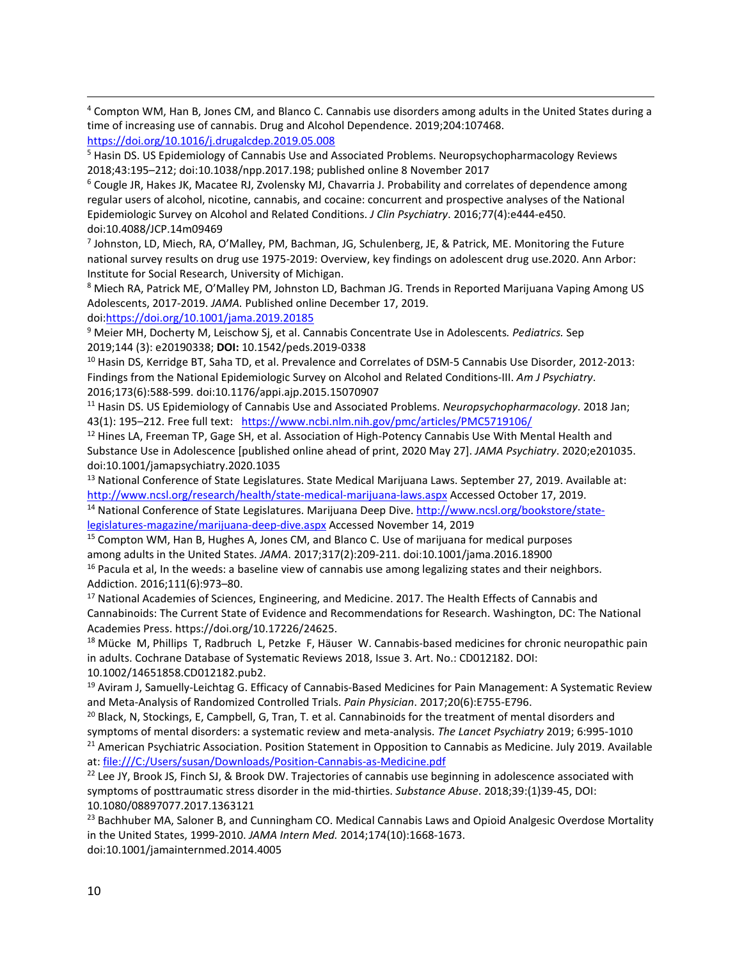<span id="page-9-0"></span> 4 Compton WM, Han B, Jones CM, and Blanco C. Cannabis use disorders among adults in the United States during a time of increasing use of cannabis. Drug and Alcohol Dependence. 2019;204:107468. <https://doi.org/10.1016/j.drugalcdep.2019.05.008>

<span id="page-9-1"></span><sup>5</sup> Hasin DS. US Epidemiology of Cannabis Use and Associated Problems. Neuropsychopharmacology Reviews 2018;43:195–212; doi:10.1038/npp.2017.198; published online 8 November 2017

<span id="page-9-2"></span><sup>6</sup> Cougle JR, Hakes JK, Macatee RJ, Zvolensky MJ, Chavarria J. Probability and correlates of dependence among regular users of alcohol, nicotine, cannabis, and cocaine: concurrent and prospective analyses of the National Epidemiologic Survey on Alcohol and Related Conditions. *J Clin Psychiatry*. 2016;77(4):e444-e450. doi:10.4088/JCP.14m09469

<span id="page-9-3"></span><sup>7</sup> Johnston, LD, Miech, RA, O'Malley, PM, Bachman, JG, Schulenberg, JE, & Patrick, ME. Monitoring the Future national survey results on drug use 1975-2019: Overview, key findings on adolescent drug use.2020. Ann Arbor: Institute for Social Research, University of Michigan.

<span id="page-9-4"></span><sup>8</sup> Miech RA, Patrick ME, O'Malley PM, Johnston LD, Bachman JG. Trends in Reported Marijuana Vaping Among US Adolescents, 2017-2019. *JAMA.* Published online December 17, 2019.

doi[:https://doi.org/10.1001/jama.2019.20185](https://doi.org/10.1001/jama.2019.20185)

<span id="page-9-5"></span><sup>9</sup> Meier MH, Docherty M, Leischow Sj, et al. Cannabis Concentrate Use in Adolescents*. Pediatrics.* Sep 2019;144 (3): e20190338; **DOI:** 10.1542/peds.2019-0338

<span id="page-9-6"></span><sup>10</sup> Hasin DS, Kerridge BT, Saha TD, et al. Prevalence and Correlates of DSM-5 Cannabis Use Disorder, 2012-2013: Findings from the National Epidemiologic Survey on Alcohol and Related Conditions-III. *Am J Psychiatry*. 2016;173(6):588-599. doi:10.1176/appi.ajp.2015.15070907

<span id="page-9-7"></span><sup>11</sup> Hasin DS. US Epidemiology of Cannabis Use and Associated Problems. *Neuropsychopharmacology*. 2018 Jan; 43(1): 195–212. Free full text: <https://www.ncbi.nlm.nih.gov/pmc/articles/PMC5719106/>

<span id="page-9-8"></span><sup>12</sup> Hines LA, Freeman TP, Gage SH, et al. Association of High-Potency Cannabis Use With Mental Health and Substance Use in Adolescence [published online ahead of print, 2020 May 27]. *JAMA Psychiatry*. 2020;e201035. doi:10.1001/jamapsychiatry.2020.1035

<span id="page-9-9"></span><sup>13</sup> National Conference of State Legislatures. State Medical Marijuana Laws. September 27, 2019. Available at: <http://www.ncsl.org/research/health/state-medical-marijuana-laws.aspx> Accessed October 17, 2019.

<span id="page-9-10"></span><sup>14</sup> National Conference of State Legislatures. Marijuana Deep Dive[. http://www.ncsl.org/bookstore/state](http://www.ncsl.org/bookstore/state-legislatures-magazine/marijuana-deep-dive.aspx)[legislatures-magazine/marijuana-deep-dive.aspx](http://www.ncsl.org/bookstore/state-legislatures-magazine/marijuana-deep-dive.aspx) Accessed November 14, 2019

<span id="page-9-11"></span><sup>15</sup> Compton WM, Han B, Hughes A, Jones CM, and Blanco C. Use of marijuana for medical purposes among adults in the United States. *JAMA*. 2017;317(2):209-211. doi:10.1001/jama.2016.18900

<span id="page-9-12"></span><sup>16</sup> Pacula et al, In the weeds: a baseline view of cannabis use among legalizing states and their neighbors. Addiction. 2016;111(6):973–80.

<span id="page-9-13"></span><sup>17</sup> National Academies of Sciences, Engineering, and Medicine. 2017. The Health Effects of Cannabis and Cannabinoids: The Current State of Evidence and Recommendations for Research. Washington, DC: The National Academies Press. https://doi.org/10.17226/24625.

<span id="page-9-14"></span><sup>18</sup> Mücke M, Phillips T, Radbruch L, Petzke F, Häuser W. Cannabis-based medicines for chronic neuropathic pain in adults. Cochrane Database of Systematic Reviews 2018, Issue 3. Art. No.: CD012182. DOI: 10.1002/14651858.CD012182.pub2.

<span id="page-9-15"></span><sup>19</sup> Aviram J, Samuelly-Leichtag G. Efficacy of Cannabis-Based Medicines for Pain Management: A Systematic Review and Meta-Analysis of Randomized Controlled Trials. *Pain Physician*. 2017;20(6):E755-E796.

<span id="page-9-16"></span><sup>20</sup> Black, N, Stockings, E, Campbell, G, Tran, T. et al. Cannabinoids for the treatment of mental disorders and symptoms of mental disorders: a systematic review and meta-analysis. *The Lancet Psychiatry* 2019; 6:995-1010

<span id="page-9-17"></span><sup>21</sup> American Psychiatric Association. Position Statement in Opposition to Cannabis as Medicine. July 2019. Available at: file:///C:/Users/susan/Downloads/Position-Cannabis-as-Medicine.pdf

<span id="page-9-18"></span> $22$  Lee JY, Brook JS, Finch SJ, & Brook DW. Trajectories of cannabis use beginning in adolescence associated with symptoms of posttraumatic stress disorder in the mid-thirties. *Substance Abuse*. 2018;39:(1)39-45, DOI: 10.1080/08897077.2017.1363121

<span id="page-9-19"></span><sup>23</sup> Bachhuber MA, Saloner B, and Cunningham CO. Medical Cannabis Laws and Opioid Analgesic Overdose Mortality in the United States, 1999-2010. *JAMA Intern Med.* 2014;174(10):1668-1673. doi:10.1001/jamainternmed.2014.4005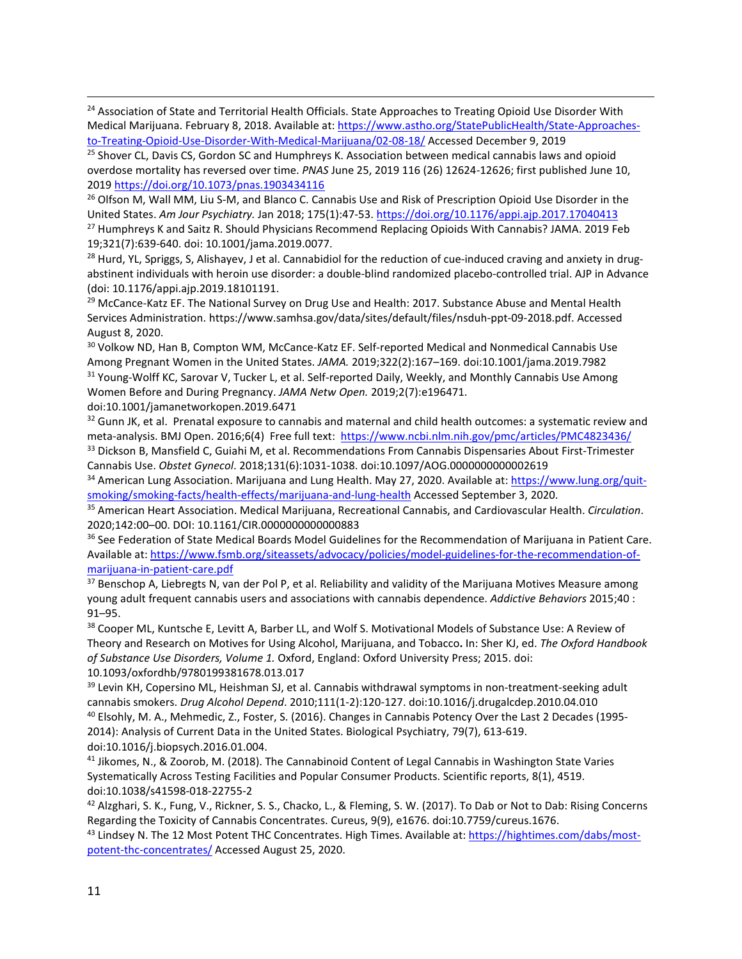<span id="page-10-0"></span><sup>24</sup> Association of State and Territorial Health Officials. State Approaches to Treating Opioid Use Disorder With Medical Marijuana. February 8, 2018. Available at: [https://www.astho.org/StatePublicHealth/State-Approaches](https://www.astho.org/StatePublicHealth/State-Approaches-to-Treating-Opioid-Use-Disorder-With-Medical-Marijuana/02-08-18/)[to-Treating-Opioid-Use-Disorder-With-Medical-Marijuana/02-08-18/](https://www.astho.org/StatePublicHealth/State-Approaches-to-Treating-Opioid-Use-Disorder-With-Medical-Marijuana/02-08-18/) Accessed December 9, 2019

<span id="page-10-1"></span><sup>25</sup> Shover CL, Davis CS, Gordon SC and Humphreys K. Association between medical cannabis laws and opioid overdose mortality has reversed over time. *PNAS* June 25, 2019 116 (26) 12624-12626; first published June 10, 2019 <https://doi.org/10.1073/pnas.1903434116>

<span id="page-10-2"></span><sup>26</sup> Olfson M, Wall MM, Liu S-M, and Blanco C. Cannabis Use and Risk of Prescription Opioid Use Disorder in the United States. *Am Jour Psychiatry.* Jan 2018; 175(1):47-53.<https://doi.org/10.1176/appi.ajp.2017.17040413>

<span id="page-10-3"></span><sup>27</sup> Humphreys K and Saitz R. Should Physicians Recommend Replacing Opioids With Cannabis? JAMA. 2019 Feb 19;321(7):639-640. doi: 10.1001/jama.2019.0077.

<span id="page-10-4"></span> $^{28}$  Hurd, YL, Spriggs, S, Alishayev, J et al. Cannabidiol for the reduction of cue-induced craving and anxiety in drugabstinent individuals with heroin use disorder: a double-blind randomized placebo-controlled trial. AJP in Advance (doi: 10.1176/appi.ajp.2019.18101191.

<span id="page-10-5"></span><sup>29</sup> McCance-Katz EF. The National Survey on Drug Use and Health: 2017. Substance Abuse and Mental Health Services Administration. https://www.samhsa.gov/data/sites/default/files/nsduh-ppt-09-2018.pdf. Accessed August 8, 2020.

<span id="page-10-7"></span><span id="page-10-6"></span><sup>30</sup> Volkow ND, Han B, Compton WM, McCance-Katz EF. Self-reported Medical and Nonmedical Cannabis Use Among Pregnant Women in the United States. *JAMA.* 2019;322(2):167–169. doi:10.1001/jama.2019.7982 <sup>31</sup> Young-Wolff KC, Sarovar V, Tucker L, et al. Self-reported Daily, Weekly, and Monthly Cannabis Use Among Women Before and During Pregnancy. *JAMA Netw Open.* 2019;2(7):e196471.

doi:10.1001/jamanetworkopen.2019.6471

<span id="page-10-8"></span><sup>32</sup> Gunn JK, et al. Prenatal exposure to cannabis and maternal and child health outcomes: a systematic review and meta-analysis. BMJ Open. 2016;6(4) Free full text: <https://www.ncbi.nlm.nih.gov/pmc/articles/PMC4823436/>

<span id="page-10-9"></span><sup>33</sup> Dickson B, Mansfield C, Guiahi M, et al. Recommendations From Cannabis Dispensaries About First-Trimester Cannabis Use. *Obstet Gynecol*. 2018;131(6):1031-1038. doi:10.1097/AOG.0000000000002619

<span id="page-10-10"></span>34 American Lung Association. Marijuana and Lung Health. May 27, 2020. Available at: [https://www.lung.org/quit](https://www.lung.org/quit-smoking/smoking-facts/health-effects/marijuana-and-lung-health)[smoking/smoking-facts/health-effects/marijuana-and-lung-health](https://www.lung.org/quit-smoking/smoking-facts/health-effects/marijuana-and-lung-health) Accessed September 3, 2020.

<span id="page-10-11"></span><sup>35</sup> American Heart Association. Medical Marijuana, Recreational Cannabis, and Cardiovascular Health. *Circulation*. 2020;142:00–00. DOI: 10.1161/CIR.0000000000000883

<span id="page-10-12"></span><sup>36</sup> See Federation of State Medical Boards Model Guidelines for the Recommendation of Marijuana in Patient Care. Available at: [https://www.fsmb.org/siteassets/advocacy/policies/model-guidelines-for-the-recommendation-of](https://www.fsmb.org/siteassets/advocacy/policies/model-guidelines-for-the-recommendation-of-marijuana-in-patient-care.pdf)[marijuana-in-patient-care.pdf](https://www.fsmb.org/siteassets/advocacy/policies/model-guidelines-for-the-recommendation-of-marijuana-in-patient-care.pdf)

<span id="page-10-13"></span>37 Benschop A, Liebregts N, van der Pol P, et al. Reliability and validity of the Marijuana Motives Measure among young adult frequent cannabis users and associations with cannabis dependence. *Addictive Behaviors* 2015;40 : 91–95.

<span id="page-10-14"></span><sup>38</sup> Cooper ML, Kuntsche E, Levitt A, Barber LL, and Wolf S. Motivational Models of Substance Use: A Review of Theory and Research on Motives for Using Alcohol, Marijuana, and Tobacco**.** In: Sher KJ, ed. *The Oxford Handbook of Substance Use Disorders, Volume 1.* Oxford, England: Oxford University Press; 2015. doi: 10.1093/oxfordhb/9780199381678.013.017

<span id="page-10-16"></span><span id="page-10-15"></span><sup>39</sup> Levin KH, Copersino ML, Heishman SJ, et al. Cannabis withdrawal symptoms in non-treatment-seeking adult cannabis smokers. *Drug Alcohol Depend*. 2010;111(1-2):120-127. doi:10.1016/j.drugalcdep.2010.04.010 <sup>40</sup> Elsohly, M. A., Mehmedic, Z., Foster, S. (2016). Changes in Cannabis Potency Over the Last 2 Decades (1995- 2014): Analysis of Current Data in the United States. Biological Psychiatry, 79(7), 613-619. doi:10.1016/j.biopsych.2016.01.004.

<span id="page-10-17"></span><sup>41</sup> Jikomes, N., & Zoorob, M. (2018). The Cannabinoid Content of Legal Cannabis in Washington State Varies Systematically Across Testing Facilities and Popular Consumer Products. Scientific reports, 8(1), 4519. doi:10.1038/s41598-018-22755-2

<span id="page-10-18"></span>42 Alzghari, S. K., Fung, V., Rickner, S. S., Chacko, L., & Fleming, S. W. (2017). To Dab or Not to Dab: Rising Concerns Regarding the Toxicity of Cannabis Concentrates. Cureus, 9(9), e1676. doi:10.7759/cureus.1676.

<span id="page-10-19"></span>43 Lindsey N. The 12 Most Potent THC Concentrates. High Times. Available at: [https://hightimes.com/dabs/most](https://hightimes.com/dabs/most-potent-thc-concentrates/)[potent-thc-concentrates/](https://hightimes.com/dabs/most-potent-thc-concentrates/) Accessed August 25, 2020.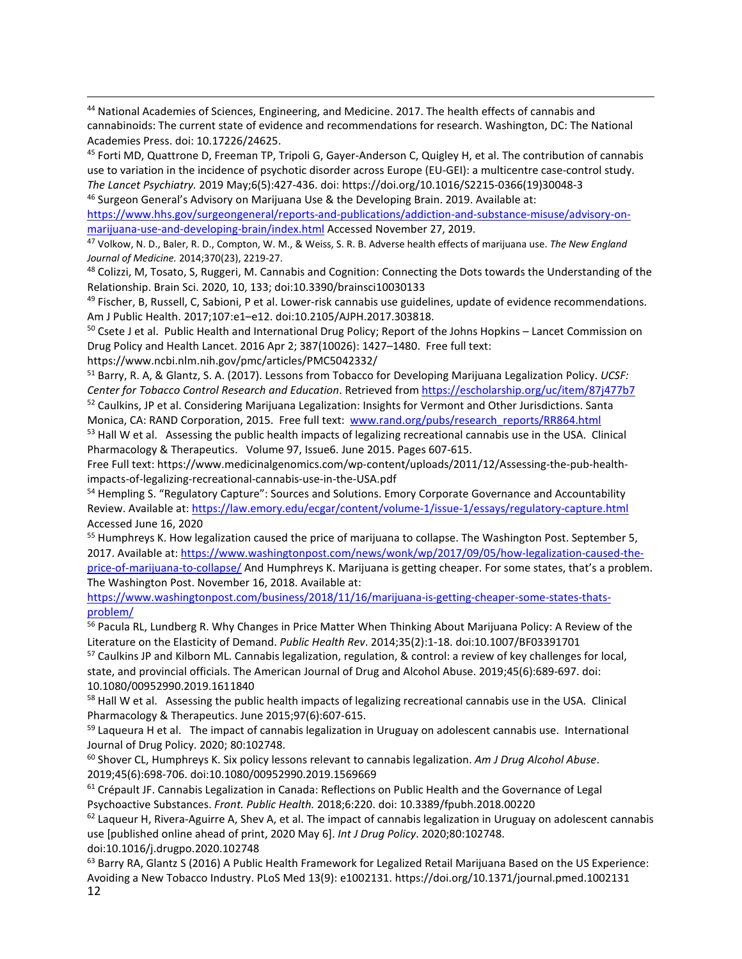<span id="page-11-0"></span> 44 National Academies of Sciences, Engineering, and Medicine. 2017. The health effects of cannabis and cannabinoids: The current state of evidence and recommendations for research. Washington, DC: The National Academies Press. doi: 10.17226/24625.

<span id="page-11-1"></span><sup>45</sup> Forti MD, Quattrone D, Freeman TP, Tripoli G, Gayer-Anderson C, Quigley H, et al. The contribution of cannabis use to variation in the incidence of psychotic disorder across Europe (EU-GEI): a multicentre case-control study. *The Lancet Psychiatry.* 2019 May;6(5):427-436. doi: https://doi.org/10.1016/S2215-0366(19)30048-3 <sup>46</sup> Surgeon General's Advisory on Marijuana Use & the Developing Brain. 2019. Available at:

<span id="page-11-2"></span>[https://www.hhs.gov/surgeongeneral/reports-and-publications/addiction-and-substance-misuse/advisory-on](https://www.hhs.gov/surgeongeneral/reports-and-publications/addiction-and-substance-misuse/advisory-on-marijuana-use-and-developing-brain/index.html)[marijuana-use-and-developing-brain/index.html](https://www.hhs.gov/surgeongeneral/reports-and-publications/addiction-and-substance-misuse/advisory-on-marijuana-use-and-developing-brain/index.html) Accessed November 27, 2019.

<span id="page-11-3"></span><sup>47</sup> Volkow, N. D., Baler, R. D., Compton, W. M., & Weiss, S. R. B. Adverse health effects of marijuana use. *The New England* 

<span id="page-11-4"></span><sup>48</sup> Colizzi, M, Tosato, S, Ruggeri, M. Cannabis and Cognition: Connecting the Dots towards the Understanding of the Relationship. Brain Sci. 2020, 10, 133; doi:10.3390/brainsci10030133

<span id="page-11-5"></span> $49$  Fischer, B, Russell, C, Sabioni, P et al. Lower-risk cannabis use guidelines, update of evidence recommendations. Am J Public Health. 2017;107:e1–e12. doi:10.2105/AJPH.2017.303818.

<span id="page-11-6"></span><sup>50</sup> Csete J et al. Public Health and International Drug Policy; Report of the Johns Hopkins – Lancet Commission on Drug Policy and Health Lancet. 2016 Apr 2; 387(10026): 1427–1480. Free full text:

https://www.ncbi.nlm.nih.gov/pmc/articles/PMC5042332/

<span id="page-11-7"></span><sup>51</sup> Barry, R. A, & Glantz, S. A. (2017). Lessons from Tobacco for Developing Marijuana Legalization Policy. *UCSF: Center for Tobacco Control Research and Education*. Retrieved from<https://escholarship.org/uc/item/87j477b7>

<span id="page-11-8"></span><sup>52</sup> Caulkins, JP et al. Considering Marijuana Legalization: Insights for Vermont and Other Jurisdictions. Santa Monica, CA: RAND Corporation, 2015. Free full text: [www.rand.org/pubs/research\\_reports/RR864.html](http://www.rand.org/pubs/research_reports/RR864.html)

<span id="page-11-9"></span><sup>53</sup> Hall W et al. Assessing the public health impacts of legalizing recreational cannabis use in the USA. Clinical Pharmacology & Therapeutics. Volume 97, Issue6. June 2015. Pages 607-615.

Free Full text: https://www.medicinalgenomics.com/wp-content/uploads/2011/12/Assessing-the-pub-healthimpacts-of-legalizing-recreational-cannabis-use-in-the-USA.pdf

<span id="page-11-10"></span><sup>54</sup> Hempling S. "Regulatory Capture": Sources and Solutions. Emory Corporate Governance and Accountability Review. Available at[: https://law.emory.edu/ecgar/content/volume-1/issue-1/essays/regulatory-capture.html](https://law.emory.edu/ecgar/content/volume-1/issue-1/essays/regulatory-capture.html) Accessed June 16, 2020

<span id="page-11-11"></span><sup>55</sup> Humphreys K. How legalization caused the price of marijuana to collapse. The Washington Post. September 5, 2017. Available at[: https://www.washingtonpost.com/news/wonk/wp/2017/09/05/how-legalization-caused-the](https://www.washingtonpost.com/news/wonk/wp/2017/09/05/how-legalization-caused-the-price-of-marijuana-to-collapse/)[price-of-marijuana-to-collapse/](https://www.washingtonpost.com/news/wonk/wp/2017/09/05/how-legalization-caused-the-price-of-marijuana-to-collapse/) And Humphreys K. Marijuana is getting cheaper. For some states, that's a problem. The Washington Post. November 16, 2018. Available at:

[https://www.washingtonpost.com/business/2018/11/16/marijuana-is-getting-cheaper-some-states-thats](https://www.washingtonpost.com/business/2018/11/16/marijuana-is-getting-cheaper-some-states-thats-problem/)[problem/](https://www.washingtonpost.com/business/2018/11/16/marijuana-is-getting-cheaper-some-states-thats-problem/)

<span id="page-11-12"></span><sup>56</sup> Pacula RL, Lundberg R. Why Changes in Price Matter When Thinking About Marijuana Policy: A Review of the Literature on the Elasticity of Demand. *Public Health Rev*. 2014;35(2):1-18. doi:10.1007/BF03391701

<span id="page-11-13"></span><sup>57</sup> Caulkins JP and Kilborn ML. Cannabis legalization, regulation, & control: a review of key challenges for local, state, and provincial officials. The American Journal of Drug and Alcohol Abuse. 2019;45(6):689-697. doi: 10.1080/00952990.2019.1611840

<span id="page-11-14"></span><sup>58</sup> Hall W et al. Assessing the public health impacts of legalizing recreational cannabis use in the USA. Clinical Pharmacology & Therapeutics. June 2015;97(6):607-615.

<span id="page-11-15"></span><sup>59</sup> Laqueura H et al. The impact of cannabis legalization in Uruguay on adolescent cannabis use. International Journal of Drug Policy. 2020; 80:102748.

<span id="page-11-16"></span><sup>60</sup> Shover CL, Humphreys K. Six policy lessons relevant to cannabis legalization. *Am J Drug Alcohol Abuse*. 2019;45(6):698-706. doi:10.1080/00952990.2019.1569669

<span id="page-11-17"></span> $61$  Crépault JF. Cannabis Legalization in Canada: Reflections on Public Health and the Governance of Legal Psychoactive Substances. *Front. Public Health.* 2018;6:220. doi: 10.3389/fpubh.2018.00220

<span id="page-11-18"></span> $62$  Laqueur H, Rivera-Aguirre A, Shev A, et al. The impact of cannabis legalization in Uruguay on adolescent cannabis use [published online ahead of print, 2020 May 6]. *Int J Drug Policy*. 2020;80:102748. doi:10.1016/j.drugpo.2020.102748

<span id="page-11-19"></span>12  $63$  Barry RA, Glantz S (2016) A Public Health Framework for Legalized Retail Marijuana Based on the US Experience: Avoiding a New Tobacco Industry. PLoS Med 13(9): e1002131. https://doi.org/10.1371/journal.pmed.1002131